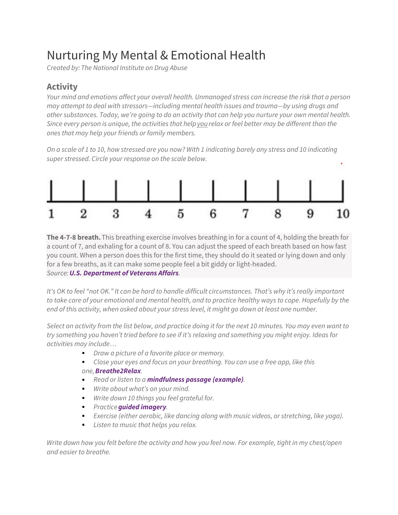## Nurturing My Mental & Emotional Health

*Created by: The National Institute on Drug Abuse*

## **Activity**

*Your mind and emotions affect your overall health. Unmanaged stress can increase the risk that a person may attempt to deal with stressors—including mental health issues and trauma—by using drugs and other substances. Today, we're going to do an activity that can help you nurture your own mental health. Since every person is unique, the activities that helpyou relax or feel better may be different than the ones that may help your friends or family members.*

*On a scale of 1 to 10, how stressed are you now? With 1 indicating barely any stress and 10 indicating super stressed. Circle your response on the scale below.*



**The 4-7-8 breath.** This breathing exercise involves breathing in for a count of 4, holding the breath for a count of 7, and exhaling for a count of 8. You can adjust the speed of each breath based on how fast you count. When a person does this for the first time, they should do it seated or lying down and only for a few breaths, as it can make some people feel a bit giddy or light-headed. *Source:[U.S. Department of Veterans Affairs](https://www.va.gov/WHOLEHEALTHLIBRARY/overviews/power-of-the-mind.asp).*

*It's OK to feel "not OK." It can be hard to handle difficult circumstances. That's why it's really important to take care of your emotional and mental health, and to practice healthy ways to cope. Hopefully by the end of this activity, when asked about your stress level, it might go down at least one number.*

*Select an activity from the list below, and practice doing it for the next 10 minutes. You may even want to try something you haven't tried before to see if it's relaxing and something you might enjoy. Ideas for activities may include…*

- *Draw a picture of a favorite place or memory.*
- *Close your eyes and focus on your breathing. You can use a free app, like this one,[Breathe2Rela](https://apps.apple.com/us/app/breathe2relax/id425720246)x.*
- *Read or listen to a* **[mindfulness](https://www.va.gov/WHOLEHEALTH/podcast-files/10min-Mindfulness-of-Breathing-Meditation_GS.mp3) passage (example)***.*
- *Write about what's on your mind.*
- *Write down 10 things you feel grateful for.*
- *Practice[guided imager](https://www.cancer.gov/publications/dictionaries/cancer-terms/def/guided-imagery)y.*
- *Exercise (either aerobic, like dancing along with music videos, or stretching, like yoga).*
- *Listen to music that helps you relax.*

*Write down how you felt before the activity and how you feel now. For example, tight in my chest/open and easier to breathe.*